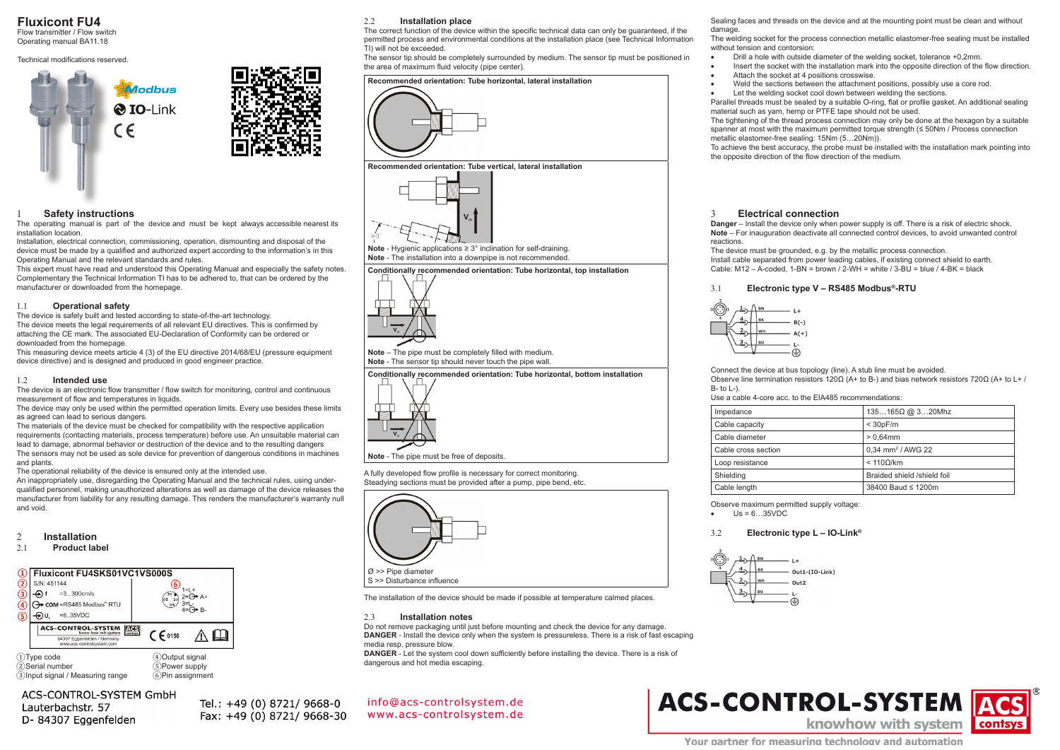**Fluxicont FU4**

Flow transmitter / Flow switch Operating manual BA11.18

#### Technical modifications reserved.





#### **Safety instructions**

The operating manual is part of the device and must be kept always accessible nearest its installation location.

Installation, electrical connection, commissioning, operation, dismounting and disposal of the device must be made by a qualified and authorized expert according to the information's in this Operating Manual and the relevant standards and rules.

This expert must have read and understood this Operating Manual and especially the safety notes. Complementary the Technical Information TI has to be adhered to, that can be ordered by the manufacturer or downloaded from the homepage.

#### 1.1 **Operational safety**

The device is safely built and tested according to state-of-the-art technology. The device meets the legal requirements of all relevant EU directives. This is confirmed by attaching the CE mark. The associated EU-Declaration of Conformity can be ordered or downloaded from the homepage.

This measuring device meets article 4 (3) of the EU directive 2014/68/EU (pressure equipment device directive) and is designed and produced in good engineer practice.

#### 1.2 **Intended use**

The device is an electronic flow transmitter / flow switch for monitoring, control and continuous measurement of flow and temperatures in liquids.

The device may only be used within the permitted operation limits. Every use besides these limits as agreed can lead to serious dangers.

The materials of the device must be checked for compatibility with the respective application requirements (contacting materials, process temperature) before use. An unsuitable material can lead to damage, abnormal behavior or destruction of the device and to the resulting dangers

The sensors may not be used as sole device for prevention of dangerous conditions in machines and plants.

The operational reliability of the device is ensured only at the intended use.

An inappropriately use, disregarding the Operating Manual and the technical rules, using underqualified personnel, making unauthorized alterations as well as damage of the device releases the manufacturer from liability for any resulting damage. This renders the manufacturer's warranty null and void.

## 2 **Installation**

#### **Product label**



②Serial number ⑤Power supply<br>③Input signal / Measuring range ⑥Pin assignment  $\widetilde{\textcircled{\scriptsize{3}}}$ Input signal / Measuring range

### ACS-CONTROL-SYSTEM GmbH

Lauterbachstr, 57 D-84307 Eggenfelden Tel.: +49 (0) 8721/ 9668-0 Fax: +49 (0) 8721/ 9668-30

#### 2.2 **Installation place**

The correct function of the device within the specific technical data can only be guaranteed, if the permitted process and environmental conditions at the installation place (see Technical Information TI) will not be exceeded.

The sensor tip should be completely surrounded by medium. The sensor tip must be positioned in the area of maximum fluid velocity (pipe center).



**Note** - Hygienic applications ≥ 3° inclination for self-draining. **Note** - The installation into a downpipe is not recommended.

**Conditionally recommended orientation: Tube horizontal, top installation**



**Note** – The pipe must be completely filled with medium. **Note** - The sensor tip should never touch the pipe wall.





A fully developed flow profile is necessary for correct monitoring. Steadying sections must be provided after a pump, pipe bend, etc.



#### 2.3 **Installation notes**

Do not remove packaging until just before mounting and check the device for any damage. **DANGER** - Install the device only when the system is pressureless. There is a risk of fast escaping media resp. pressure blow.

**DANGER** - Let the system cool down sufficiently before installing the device. There is a risk of dangerous and hot media escaping.

info@acs-controlsystem.de www.acs-controlsystem.de

Sealing faces and threads on the device and at the mounting point must be clean and without damage

The welding socket for the process connection metallic elastomer-free sealing must be installed without tension and contorsion:

- Drill a hole with outside diameter of the welding socket, tolerance +0,2mm.
- Insert the socket with the installation mark into the opposite direction of the flow direction.
- Attach the socket at 4 positions crosswise.
	- Weld the sections between the attachment positions, possibly use a core rod.
	- Let the welding socket cool down between welding the sections.

Parallel threads must be sealed by a suitable O-ring, flat or profile gasket. An additional sealing material such as yam, hemp or PTFE tape should not be used.

The tightening of the thread process connection may only be done at the hexagon by a suitable spanner at most with the maximum permitted torque strength (≤ 50Nm / Process connection metallic elastomer-free sealing: 15Nm (5…20Nm)).

To achieve the best accuracy, the probe must be installed with the installation mark pointing into the opposite direction of the flow direction of the medium.

#### 3 **Electrical connection**

**Danger** – Install the device only when power supply is off. There is a risk of electric shock. **Note** – For inauguration deactivate all connected control devices, to avoid unwanted control reactions.

The device must be grounded, e.g. by the metallic process connection. Install cable separated from power leading cables, if existing connect shield to earth. Cable: M12 – A-coded, 1-BN = brown / 2-WH = white / 3-BU = blue / 4-BK = black

#### 3.1 **Electronic type V – RS485 Modbus®-RTU**



Connect the device at bus topology (line). A stub line must be avoided.

Observe line termination resistors 120Ω (A+ to B-) and bias network resistors 720Ω (A+ to L+ /  $B_1$  to  $L_1$ .

Use a cable 4-core acc. to the EIA485 recommendations:

| Impedance           | $135165\Omega$ @ $320$ Mhz    |
|---------------------|-------------------------------|
| Cable capacity      | $<$ 30pF/m                    |
| Cable diameter      | $> 0.64$ mm                   |
| Cable cross section | 0,34 mm <sup>2</sup> / AWG 22 |
| Loop resistance     | < 1100/km                     |
| Shielding           | Braided shield /shield foil   |
| Cable length        | 38400 Baud ≤ 1200m            |
|                     |                               |

Observe maximum permitted supply voltage:

 $Us = 6...35VDC$ 

#### 3.2 **Electronic type L – IO-Link®**





**Note** - The pipe must be free of deposits.

The installation of the device should be made if possible at temperature calmed places.